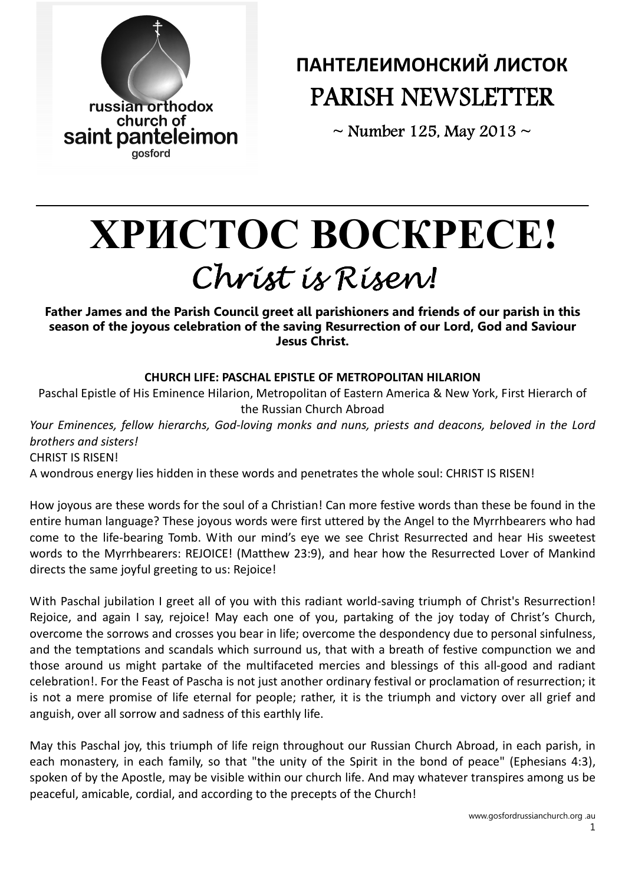

# ПАНТЕЛЕИМОНСКИЙ ЛИСТОК PARISH NEWSLETTER

 $\sim$  Number 125, May 2013  $\sim$ 

# ХРИСТ**O**С В**O**СКРЕСЕ**!**  Christ is Risen! Christ is Risen!

Father James and the Parish Council greet all parishioners and friends of our parish in this season of the joyous celebration of the saving Resurrection of our Lord, God and Saviour Jesus Christ.

# CHURCH LIFE: PASCHAL EPISTLE OF METROPOLITAN HILARION

Paschal Epistle of His Eminence Hilarion, Metropolitan of Eastern America & New York, First Hierarch of the Russian Church Abroad

Your Eminences, fellow hierarchs, God-loving monks and nuns, priests and deacons, beloved in the Lord brothers and sisters! CHRIST IS RISEN!

A wondrous energy lies hidden in these words and penetrates the whole soul: CHRIST IS RISEN!

How joyous are these words for the soul of a Christian! Can more festive words than these be found in the entire human language? These joyous words were first uttered by the Angel to the Myrrhbearers who had come to the life-bearing Tomb. With our mind's eye we see Christ Resurrected and hear His sweetest words to the Myrrhbearers: REJOICE! (Matthew 23:9), and hear how the Resurrected Lover of Mankind directs the same joyful greeting to us: Rejoice!

With Paschal jubilation I greet all of you with this radiant world-saving triumph of Christ's Resurrection! Rejoice, and again I say, rejoice! May each one of you, partaking of the joy today of Christ's Church, overcome the sorrows and crosses you bear in life; overcome the despondency due to personal sinfulness, and the temptations and scandals which surround us, that with a breath of festive compunction we and those around us might partake of the multifaceted mercies and blessings of this all-good and radiant celebration!. For the Feast of Pascha is not just another ordinary festival or proclamation of resurrection; it is not a mere promise of life eternal for people; rather, it is the triumph and victory over all grief and anguish, over all sorrow and sadness of this earthly life.

May this Paschal joy, this triumph of life reign throughout our Russian Church Abroad, in each parish, in each monastery, in each family, so that "the unity of the Spirit in the bond of peace" (Ephesians 4:3), spoken of by the Apostle, may be visible within our church life. And may whatever transpires among us be peaceful, amicable, cordial, and according to the precepts of the Church!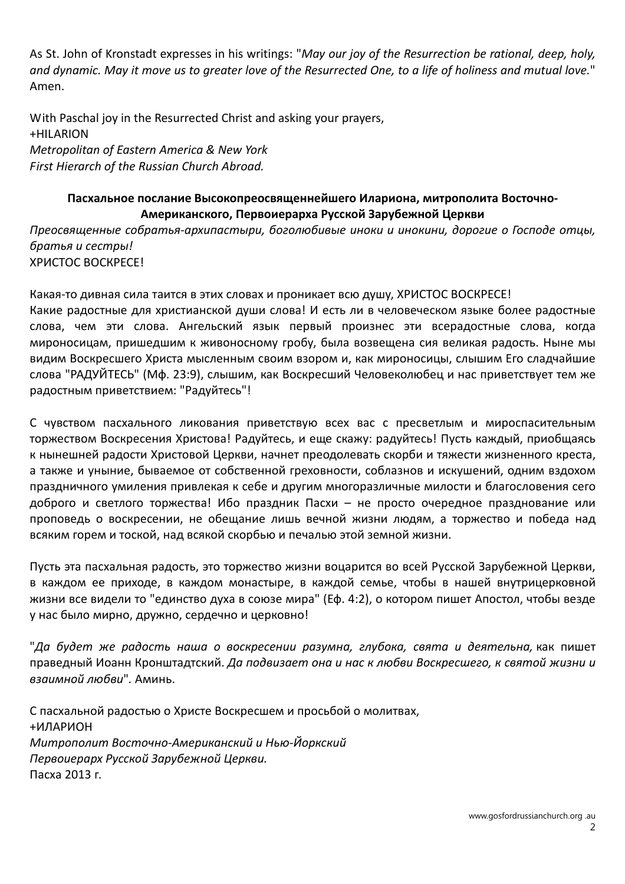As St. John of Kronstadt expresses in his writings: "May our joy of the Resurrection be rational, deep, holy, and dynamic. May it move us to greater love of the Resurrected One, to a life of holiness and mutual love." Amen.

With Paschal joy in the Resurrected Christ and asking your prayers, +HILARION Metropolitan of Eastern America & New York First Hierarch of the Russian Church Abroad.

## Пасхальное послание Высокопреосвященнейшего Илариона, митрополита Восточно-Американского, Первоиерарха Русской Зарубежной Церкви

Преосвященные собратья-архипастыри, боголюбивые иноки и инокини, дорогие о Господе отцы, братья и сестры! ХРИСТОС ВОСКРЕСЕ!

Какая-то дивная сила таится в этих словах и проникает всю душу, ХРИСТОС ВОСКРЕСЕ! Какие радостные для христианской души слова! И есть ли в человеческом языке более радостные слова, чем эти слова. Ангельский язык первый произнес эти всерадостные слова, когда мироносицам, пришедшим к живоносному гробу, была возвещена сия великая радость. Ныне мы видим Воскресшего Христа мысленным своим взором и, как мироносицы, слышим Его сладчайшие слова "РАДУЙТЕСЬ" (Мф. 23:9), слышим, как Воскресший Человеколюбец и нас приветствует тем же радостным приветствием: "Радуйтесь"!

С чувством пасхального ликования приветствую всех вас с пресветлым и мироспасительным торжеством Воскресения Христова! Радуйтесь, и еще скажу: радуйтесь! Пусть каждый, приобщаясь к нынешней радости Христовой Церкви, начнет преодолевать скорби и тяжести жизненного креста, а также и уныние, бываемое от собственной греховности, соблазнов и искушений, одним вздохом праздничного умиления привлекая к себе и другим многоразличные милости и благословения сего доброго и светлого торжества! Ибо праздник Пасхи - не просто очередное празднование или проповедь о воскресении, не обещание лишь вечной жизни людям, а торжество и победа над всяким горем и тоской, над всякой скорбью и печалью этой земной жизни.

Пусть эта пасхальная радость, это торжество жизни воцарится во всей Русской Зарубежной Церкви, в каждом ее приходе, в каждом монастыре, в каждой семье, чтобы в нашей внутрицерковной жизни все видели то "единство духа в союзе мира" (Еф. 4:2), о котором пишет Апостол, чтобы везде у нас было мирно, дружно, сердечно и церковно!

"Да будет же радость наша о воскресении разумна, глубока, свята и деятельна, как пишет праведный Иоанн Кронштадтский. Да подвизает она и нас к любви Воскресшего, к святой жизни и взаимной любви". Аминь.

С пасхальной радостью о Христе Воскресшем и просьбой о молитвах, +ИЛАРИОН Митрополит Восточно-Американский и Нью-Йоркский Первоиерарх Русской Зарубежной Церкви. Пасха 2013 г.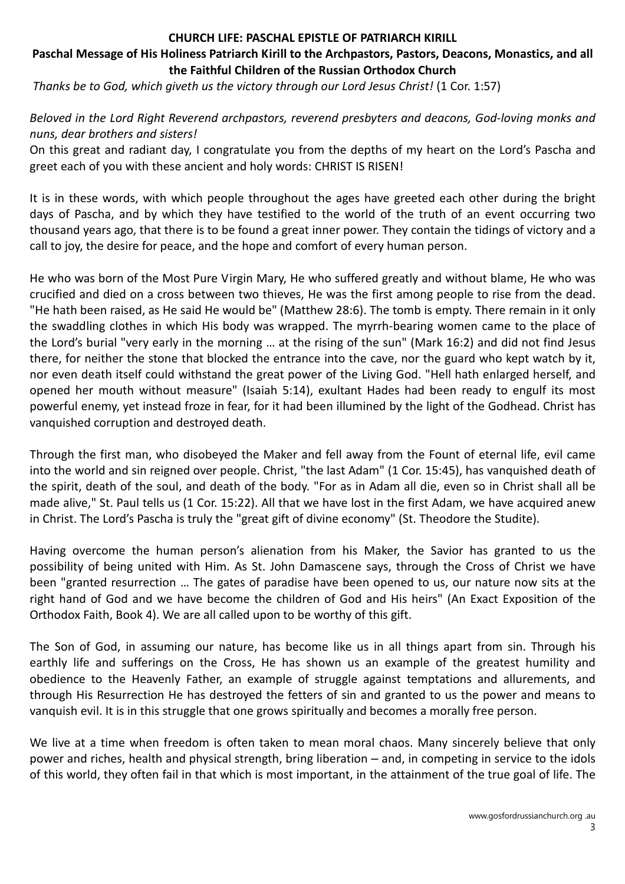#### CHURCH LIFE: PASCHAL EPISTLE OF PATRIARCH KIRILL

#### Paschal Message of His Holiness Patriarch Kirill to the Archpastors, Pastors, Deacons, Monastics, and all the Faithful Children of the Russian Orthodox Church

Thanks be to God, which giveth us the victory through our Lord Jesus Christ! (1 Cor. 1:57)

Beloved in the Lord Right Reverend archpastors, reverend presbyters and deacons, God-loving monks and nuns, dear brothers and sisters!

On this great and radiant day, I congratulate you from the depths of my heart on the Lord's Pascha and greet each of you with these ancient and holy words: CHRIST IS RISEN!

It is in these words, with which people throughout the ages have greeted each other during the bright days of Pascha, and by which they have testified to the world of the truth of an event occurring two thousand years ago, that there is to be found a great inner power. They contain the tidings of victory and a call to joy, the desire for peace, and the hope and comfort of every human person.

He who was born of the Most Pure Virgin Mary, He who suffered greatly and without blame, He who was crucified and died on a cross between two thieves, He was the first among people to rise from the dead. "He hath been raised, as He said He would be" (Matthew 28:6). The tomb is empty. There remain in it only the swaddling clothes in which His body was wrapped. The myrrh-bearing women came to the place of the Lord's burial "very early in the morning … at the rising of the sun" (Mark 16:2) and did not find Jesus there, for neither the stone that blocked the entrance into the cave, nor the guard who kept watch by it, nor even death itself could withstand the great power of the Living God. "Hell hath enlarged herself, and opened her mouth without measure" (Isaiah 5:14), exultant Hades had been ready to engulf its most powerful enemy, yet instead froze in fear, for it had been illumined by the light of the Godhead. Christ has vanquished corruption and destroyed death.

Through the first man, who disobeyed the Maker and fell away from the Fount of eternal life, evil came into the world and sin reigned over people. Christ, "the last Adam" (1 Cor. 15:45), has vanquished death of the spirit, death of the soul, and death of the body. "For as in Adam all die, even so in Christ shall all be made alive," St. Paul tells us (1 Cor. 15:22). All that we have lost in the first Adam, we have acquired anew in Christ. The Lord's Pascha is truly the "great gift of divine economy" (St. Theodore the Studite).

Having overcome the human person's alienation from his Maker, the Savior has granted to us the possibility of being united with Him. As St. John Damascene says, through the Cross of Christ we have been "granted resurrection … The gates of paradise have been opened to us, our nature now sits at the right hand of God and we have become the children of God and His heirs" (An Exact Exposition of the Orthodox Faith, Book 4). We are all called upon to be worthy of this gift.

The Son of God, in assuming our nature, has become like us in all things apart from sin. Through his earthly life and sufferings on the Cross, He has shown us an example of the greatest humility and obedience to the Heavenly Father, an example of struggle against temptations and allurements, and through His Resurrection He has destroyed the fetters of sin and granted to us the power and means to vanquish evil. It is in this struggle that one grows spiritually and becomes a morally free person.

We live at a time when freedom is often taken to mean moral chaos. Many sincerely believe that only power and riches, health and physical strength, bring liberation – and, in competing in service to the idols of this world, they often fail in that which is most important, in the attainment of the true goal of life. The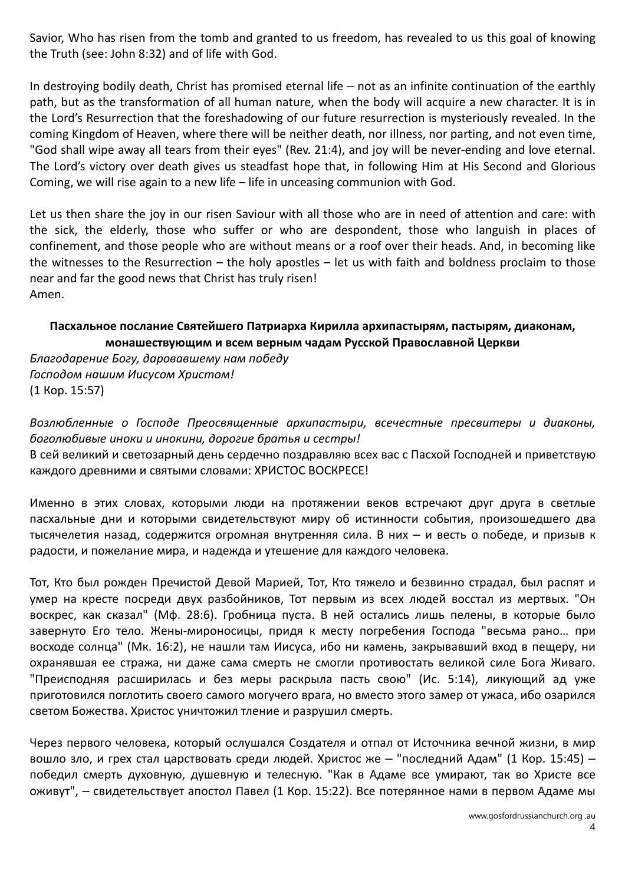Savior, Who has risen from the tomb and granted to us freedom, has revealed to us this goal of knowing the Truth (see: John 8:32) and of life with God.

In destroying bodily death, Christ has promised eternal life – not as an infinite continuation of the earthly path, but as the transformation of all human nature, when the body will acquire a new character. It is in the Lord's Resurrection that the foreshadowing of our future resurrection is mysteriously revealed. In the coming Kingdom of Heaven, where there will be neither death, nor illness, nor parting, and not even time, "God shall wipe away all tears from their eyes" (Rev. 21:4), and joy will be never-ending and love eternal. The Lord's victory over death gives us steadfast hope that, in following Him at His Second and Glorious Coming, we will rise again to a new life – life in unceasing communion with God.

Let us then share the joy in our risen Saviour with all those who are in need of attention and care: with the sick, the elderly, those who suffer or who are despondent, those who languish in places of confinement, and those people who are without means or a roof over their heads. And, in becoming like the witnesses to the Resurrection – the holy apostles – let us with faith and boldness proclaim to those near and far the good news that Christ has truly risen! Amen.

## Пасхальное послание Святейшего Патриарха Кирилла архипастырям, пастырям, диаконам, монашествующим и всем верным чадам Русской Православной Церкви

Благодарение Богу, даровавшему нам победу Господом нашим Иисусом Христом! (1 Кор. 15:57)

Возлюбленные о Господе Преосвященные архипастыри, всечестные пресвитеры и диаконы, боголюбивые иноки и инокини, дорогие братья и сестры!

В сей великий и светозарный день сердечно поздравляю всех вас с Пасхой Господней и приветствую каждого древними и святыми словами: ХРИСТОС ВОСКРЕСЕ!

Именно в этих словах, которыми люди на протяжении веков встречают друг друга в светлые пасхальные дни и которыми свидетельствуют миру об истинности события, произошедшего два тысячелетия назад, содержится огромная внутренняя сила. В них - и весть о победе, и призыв к радости, и пожелание мира, и надежда и утешение для каждого человека.

Тот, Кто был рожден Пречистой Девой Марией, Тот, Кто тяжело и безвинно страдал, был распят и умер на кресте посреди двух разбойников, Тот первым из всех людей восстал из мертвых. "Он воскрес, как сказал" (Мф. 28:6). Гробница пуста. В ней остались лишь пелены, в которые было завернуто Его тело. Жены-мироносицы, придя к месту погребения Господа "весьма рано… при восходе солнца" (Мк. 16:2), не нашли там Иисуса, ибо ни камень, закрывавший вход в пещеру, ни охранявшая ее стража, ни даже сама смерть не смогли противостать великой силе Бога Живаго. "Преисподняя расширилась и без меры раскрыла пасть свою" (Ис. 5:14), ликующий ад уже приготовился поглотить своего самого могучего врага, но вместо этого замер от ужаса, ибо озарился светом Божества. Христос уничтожил тление и разрушил смерть.

Через первого человека, который ослушался Создателя и отпал от Источника вечной жизни, в мир вошло зло, и грех стал царствовать среди людей. Христос же - "последний Адам" (1 Кор. 15:45) победил смерть духовную, душевную и телесную. "Как в Адаме все умирают, так во Христе все оживут", - свидетельствует апостол Павел (1 Кор. 15:22). Все потерянное нами в первом Адаме мы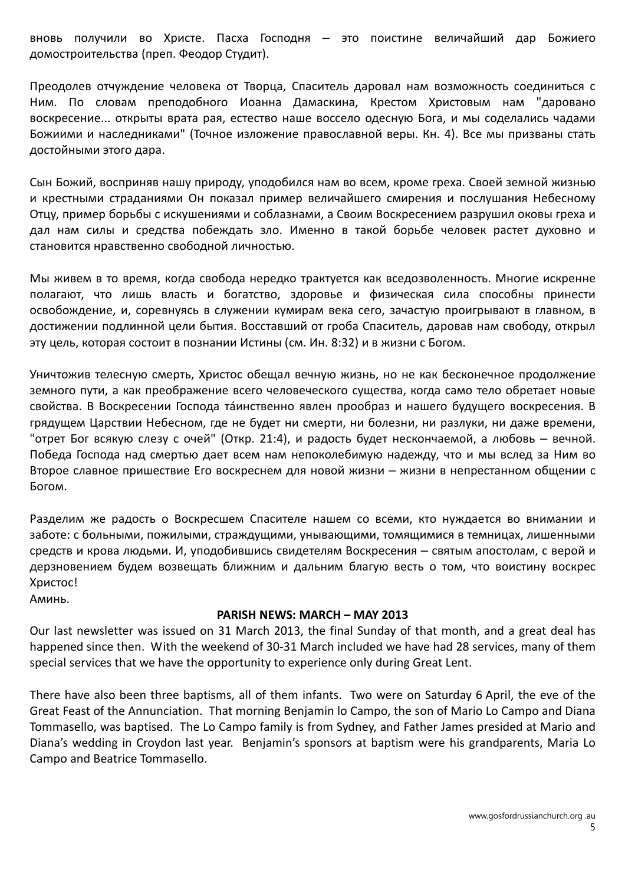вновь получили во Христе. Пасха Господня — это поистине величайший дар Божиего домостроительства (преп. Феодор Студит).

Преодолев отчуждение человека от Творца, Спаситель даровал нам возможность соединиться с Ним. По словам преподобного Иоанна Дамаскина, Крестом Христовым нам "даровано воскресение... открыты врата рая, естество наше воссело одесную Бога, и мы соделались чадами Божиими и наследниками" (Точное изложение православной веры. Кн. 4). Все мы призваны стать достойными этого дара.

Сын Божий, восприняв нашу природу, уподобился нам во всем, кроме греха. Своей земной жизнью и крестными страданиями Он показал пример величайшего смирения и послушания Небесному Отцу, пример борьбы с искушениями и соблазнами, а Своим Воскресением разрушил оковы греха и дал нам силы и средства побеждать зло. Именно в такой борьбе человек растет духовно и становится нравственно свободной личностью.

Мы живем в то время, когда свобода нередко трактуется как вседозволенность. Многие искренне полагают, что лишь власть и богатство, здоровье и физическая сила способны принести освобождение, и, соревнуясь в служении кумирам века сего, зачастую проигрывают в главном, в достижении подлинной цели бытия. Восставший от гроба Спаситель, даровав нам свободу, открыл эту цель, которая состоит в познании Истины (см. Ин. 8:32) и в жизни с Богом.

Уничтожив телесную смерть, Христос обещал вечную жизнь, но не как бесконечное продолжение земного пути, а как преображение всего человеческого существа, когда само тело обретает новые свойства. В Воскресении Господа тáинственно явлен прообраз и нашего будущего воскресения. В грядущем Царствии Небесном, где не будет ни смерти, ни болезни, ни разлуки, ни даже времени, "отрет Бог всякую слезу с очей" (Откр. 21:4), и радость будет нескончаемой, а любовь – вечной. Победа Господа над смертью дает всем нам непоколебимую надежду, что и мы вслед за Ним во Второе славное пришествие Его воскреснем для новой жизни - жизни в непрестанном общении с Богом.

Разделим же радость о Воскресшем Спасителе нашем со всеми, кто нуждается во внимании и заботе: с больными, пожилыми, страждущими, унывающими, томящимися в темницах, лишенными средств и крова людьми. И, уподобившись свидетелям Воскресения ‒ святым апостолам, с верой и дерзновением будем возвещать ближним и дальним благую весть о том, что воистину воскрес Христос!

Аминь.

#### PARISH NEWS: MARCH – MAY 2013

Our last newsletter was issued on 31 March 2013, the final Sunday of that month, and a great deal has happened since then. With the weekend of 30-31 March included we have had 28 services, many of them special services that we have the opportunity to experience only during Great Lent.

There have also been three baptisms, all of them infants. Two were on Saturday 6 April, the eve of the Great Feast of the Annunciation. That morning Benjamin lo Campo, the son of Mario Lo Campo and Diana Tommasello, was baptised. The Lo Campo family is from Sydney, and Father James presided at Mario and Diana's wedding in Croydon last year. Benjamin's sponsors at baptism were his grandparents, Maria Lo Campo and Beatrice Tommasello.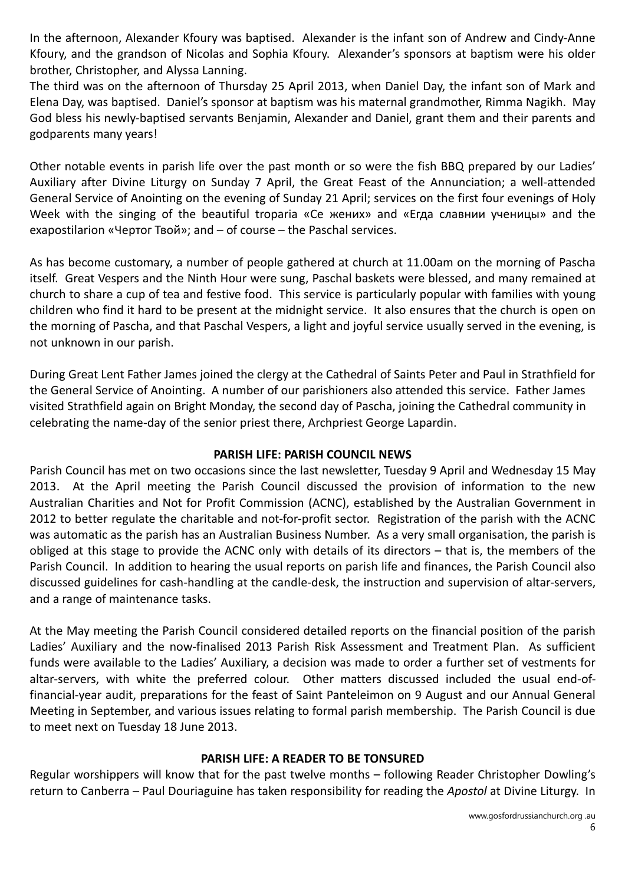In the afternoon, Alexander Kfoury was baptised. Alexander is the infant son of Andrew and Cindy-Anne Kfoury, and the grandson of Nicolas and Sophia Kfoury. Alexander's sponsors at baptism were his older brother, Christopher, and Alyssa Lanning.

The third was on the afternoon of Thursday 25 April 2013, when Daniel Day, the infant son of Mark and Elena Day, was baptised. Daniel's sponsor at baptism was his maternal grandmother, Rimma Nagikh. May God bless his newly-baptised servants Benjamin, Alexander and Daniel, grant them and their parents and godparents many years!

Other notable events in parish life over the past month or so were the fish BBQ prepared by our Ladies' Auxiliary after Divine Liturgy on Sunday 7 April, the Great Feast of the Annunciation; a well-attended General Service of Anointing on the evening of Sunday 21 April; services on the first four evenings of Holy Week with the singing of the beautiful troparia «Се жених» and «Егда славнии ученицы» and the exapostilarion «Чертог Твой»; and – of course – the Paschal services.

As has become customary, a number of people gathered at church at 11.00am on the morning of Pascha itself. Great Vespers and the Ninth Hour were sung, Paschal baskets were blessed, and many remained at church to share a cup of tea and festive food. This service is particularly popular with families with young children who find it hard to be present at the midnight service. It also ensures that the church is open on the morning of Pascha, and that Paschal Vespers, a light and joyful service usually served in the evening, is not unknown in our parish.

During Great Lent Father James joined the clergy at the Cathedral of Saints Peter and Paul in Strathfield for the General Service of Anointing. A number of our parishioners also attended this service. Father James visited Strathfield again on Bright Monday, the second day of Pascha, joining the Cathedral community in celebrating the name-day of the senior priest there, Archpriest George Lapardin.

# PARISH LIFE: PARISH COUNCIL NEWS

Parish Council has met on two occasions since the last newsletter, Tuesday 9 April and Wednesday 15 May 2013. At the April meeting the Parish Council discussed the provision of information to the new Australian Charities and Not for Profit Commission (ACNC), established by the Australian Government in 2012 to better regulate the charitable and not-for-profit sector. Registration of the parish with the ACNC was automatic as the parish has an Australian Business Number. As a very small organisation, the parish is obliged at this stage to provide the ACNC only with details of its directors – that is, the members of the Parish Council. In addition to hearing the usual reports on parish life and finances, the Parish Council also discussed guidelines for cash-handling at the candle-desk, the instruction and supervision of altar-servers, and a range of maintenance tasks.

At the May meeting the Parish Council considered detailed reports on the financial position of the parish Ladies' Auxiliary and the now-finalised 2013 Parish Risk Assessment and Treatment Plan. As sufficient funds were available to the Ladies' Auxiliary, a decision was made to order a further set of vestments for altar-servers, with white the preferred colour. Other matters discussed included the usual end-offinancial-year audit, preparations for the feast of Saint Panteleimon on 9 August and our Annual General Meeting in September, and various issues relating to formal parish membership. The Parish Council is due to meet next on Tuesday 18 June 2013.

# PARISH LIFE: A READER TO BE TONSURED

Regular worshippers will know that for the past twelve months – following Reader Christopher Dowling's return to Canberra – Paul Douriaguine has taken responsibility for reading the Apostol at Divine Liturgy. In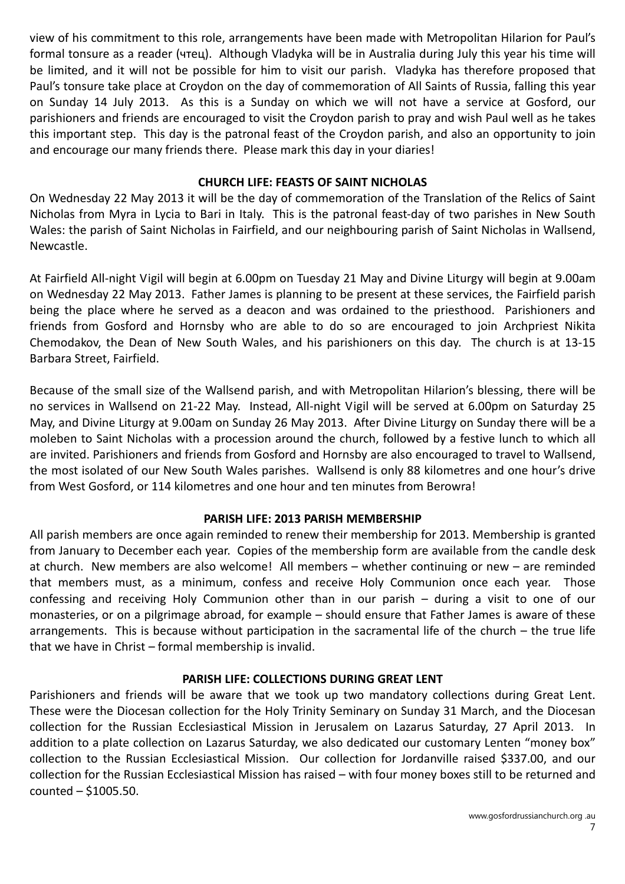view of his commitment to this role, arrangements have been made with Metropolitan Hilarion for Paul's formal tonsure as a reader (чтец). Although Vladyka will be in Australia during July this year his time will be limited, and it will not be possible for him to visit our parish. Vladyka has therefore proposed that Paul's tonsure take place at Croydon on the day of commemoration of All Saints of Russia, falling this year on Sunday 14 July 2013. As this is a Sunday on which we will not have a service at Gosford, our parishioners and friends are encouraged to visit the Croydon parish to pray and wish Paul well as he takes this important step. This day is the patronal feast of the Croydon parish, and also an opportunity to join and encourage our many friends there. Please mark this day in your diaries!

#### CHURCH LIFE: FEASTS OF SAINT NICHOLAS

On Wednesday 22 May 2013 it will be the day of commemoration of the Translation of the Relics of Saint Nicholas from Myra in Lycia to Bari in Italy. This is the patronal feast-day of two parishes in New South Wales: the parish of Saint Nicholas in Fairfield, and our neighbouring parish of Saint Nicholas in Wallsend, Newcastle.

At Fairfield All-night Vigil will begin at 6.00pm on Tuesday 21 May and Divine Liturgy will begin at 9.00am on Wednesday 22 May 2013. Father James is planning to be present at these services, the Fairfield parish being the place where he served as a deacon and was ordained to the priesthood. Parishioners and friends from Gosford and Hornsby who are able to do so are encouraged to join Archpriest Nikita Chemodakov, the Dean of New South Wales, and his parishioners on this day. The church is at 13-15 Barbara Street, Fairfield.

Because of the small size of the Wallsend parish, and with Metropolitan Hilarion's blessing, there will be no services in Wallsend on 21-22 May. Instead, All-night Vigil will be served at 6.00pm on Saturday 25 May, and Divine Liturgy at 9.00am on Sunday 26 May 2013. After Divine Liturgy on Sunday there will be a moleben to Saint Nicholas with a procession around the church, followed by a festive lunch to which all are invited. Parishioners and friends from Gosford and Hornsby are also encouraged to travel to Wallsend, the most isolated of our New South Wales parishes. Wallsend is only 88 kilometres and one hour's drive from West Gosford, or 114 kilometres and one hour and ten minutes from Berowra!

# PARISH LIFE: 2013 PARISH MEMBERSHIP

All parish members are once again reminded to renew their membership for 2013. Membership is granted from January to December each year. Copies of the membership form are available from the candle desk at church. New members are also welcome! All members – whether continuing or new – are reminded that members must, as a minimum, confess and receive Holy Communion once each year. Those confessing and receiving Holy Communion other than in our parish – during a visit to one of our monasteries, or on a pilgrimage abroad, for example – should ensure that Father James is aware of these arrangements. This is because without participation in the sacramental life of the church – the true life that we have in Christ – formal membership is invalid.

#### PARISH LIFE: COLLECTIONS DURING GREAT LENT

Parishioners and friends will be aware that we took up two mandatory collections during Great Lent. These were the Diocesan collection for the Holy Trinity Seminary on Sunday 31 March, and the Diocesan collection for the Russian Ecclesiastical Mission in Jerusalem on Lazarus Saturday, 27 April 2013. In addition to a plate collection on Lazarus Saturday, we also dedicated our customary Lenten "money box" collection to the Russian Ecclesiastical Mission. Our collection for Jordanville raised \$337.00, and our collection for the Russian Ecclesiastical Mission has raised – with four money boxes still to be returned and counted – \$1005.50.